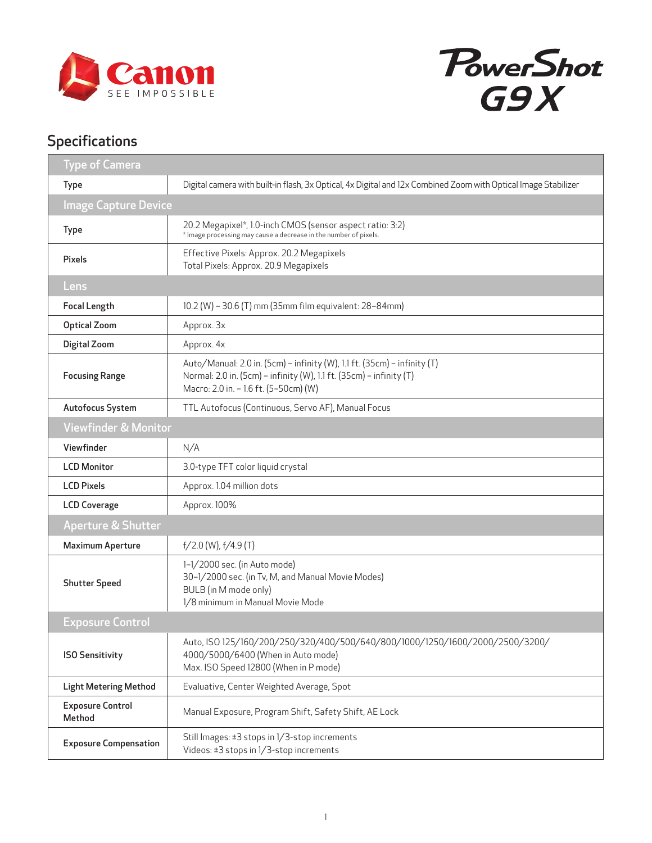



## Specifications

| <b>Type of Camera</b>             |                                                                                                                                                                                          |
|-----------------------------------|------------------------------------------------------------------------------------------------------------------------------------------------------------------------------------------|
| <b>Type</b>                       | Digital camera with built-in flash, 3x Optical, 4x Digital and 12x Combined Zoom with Optical Image Stabilizer                                                                           |
| <b>Image Capture Device</b>       |                                                                                                                                                                                          |
| <b>Type</b>                       | 20.2 Megapixel*, 1.0-inch CMOS (sensor aspect ratio: 3:2)<br>* Image processing may cause a decrease in the number of pixels.                                                            |
| <b>Pixels</b>                     | Effective Pixels: Approx. 20.2 Megapixels<br>Total Pixels: Approx. 20.9 Megapixels                                                                                                       |
| Lens                              |                                                                                                                                                                                          |
| <b>Focal Length</b>               | 10.2 (W) - 30.6 (T) mm (35mm film equivalent: 28-84mm)                                                                                                                                   |
| <b>Optical Zoom</b>               | Approx. 3x                                                                                                                                                                               |
| Digital Zoom                      | Approx. 4x                                                                                                                                                                               |
| <b>Focusing Range</b>             | Auto/Manual: 2.0 in. (5cm) - infinity (W), 1.1 ft. (35cm) - infinity (T)<br>Normal: 2.0 in. (5cm) - infinity (W), 1.1 ft. (35cm) - infinity (T)<br>Macro: 2.0 in. - 1.6 ft. (5-50cm) (W) |
| Autofocus System                  | TTL Autofocus (Continuous, Servo AF), Manual Focus                                                                                                                                       |
| <b>Viewfinder &amp; Monitor</b>   |                                                                                                                                                                                          |
| Viewfinder                        | N/A                                                                                                                                                                                      |
| <b>LCD Monitor</b>                | 3.0-type TFT color liquid crystal                                                                                                                                                        |
| <b>LCD Pixels</b>                 | Approx. 1.04 million dots                                                                                                                                                                |
| <b>LCD Coverage</b>               | Approx. 100%                                                                                                                                                                             |
| Aperture & Shutter                |                                                                                                                                                                                          |
| <b>Maximum Aperture</b>           | $f/2.0$ (W), $f/4.9$ (T)                                                                                                                                                                 |
| <b>Shutter Speed</b>              | 1-1/2000 sec. (in Auto mode)<br>30-1/2000 sec. (in Tv, M, and Manual Movie Modes)<br>BULB (in M mode only)<br>1/8 minimum in Manual Movie Mode                                           |
| <b>Exposure Control</b>           |                                                                                                                                                                                          |
| <b>ISO Sensitivity</b>            | Auto, ISO 125/160/200/250/320/400/500/640/800/1000/1250/1600/2000/2500/3200/<br>4000/5000/6400 (When in Auto mode)<br>Max. ISO Speed 12800 (When in P mode)                              |
| <b>Light Metering Method</b>      | Evaluative, Center Weighted Average, Spot                                                                                                                                                |
| <b>Exposure Control</b><br>Method | Manual Exposure, Program Shift, Safety Shift, AE Lock                                                                                                                                    |
| <b>Exposure Compensation</b>      | Still Images: ±3 stops in 1/3-stop increments<br>Videos: ±3 stops in 1/3-stop increments                                                                                                 |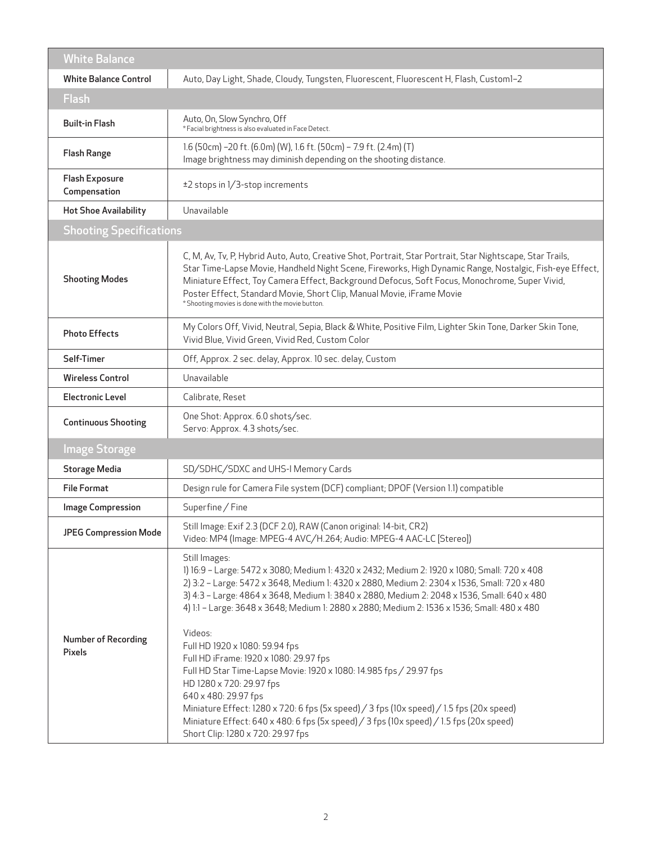| <b>White Balance</b>                  |                                                                                                                                                                                                                                                                                                                                                                                                                                                                                                                                                                                                                                                                                                                                                                                                                                                         |  |  |  |  |  |  |
|---------------------------------------|---------------------------------------------------------------------------------------------------------------------------------------------------------------------------------------------------------------------------------------------------------------------------------------------------------------------------------------------------------------------------------------------------------------------------------------------------------------------------------------------------------------------------------------------------------------------------------------------------------------------------------------------------------------------------------------------------------------------------------------------------------------------------------------------------------------------------------------------------------|--|--|--|--|--|--|
| <b>White Balance Control</b>          | Auto, Day Light, Shade, Cloudy, Tungsten, Fluorescent, Fluorescent H, Flash, Custom1-2                                                                                                                                                                                                                                                                                                                                                                                                                                                                                                                                                                                                                                                                                                                                                                  |  |  |  |  |  |  |
| <b>Flash</b>                          |                                                                                                                                                                                                                                                                                                                                                                                                                                                                                                                                                                                                                                                                                                                                                                                                                                                         |  |  |  |  |  |  |
| <b>Built-in Flash</b>                 | Auto, On, Slow Synchro, Off<br>* Facial brightness is also evaluated in Face Detect.                                                                                                                                                                                                                                                                                                                                                                                                                                                                                                                                                                                                                                                                                                                                                                    |  |  |  |  |  |  |
| <b>Flash Range</b>                    | 1.6 (50cm) -20 ft. (6.0m) (W), 1.6 ft. (50cm) - 7.9 ft. (2.4m) (T)<br>Image brightness may diminish depending on the shooting distance.                                                                                                                                                                                                                                                                                                                                                                                                                                                                                                                                                                                                                                                                                                                 |  |  |  |  |  |  |
| <b>Flash Exposure</b><br>Compensation | ±2 stops in 1/3-stop increments                                                                                                                                                                                                                                                                                                                                                                                                                                                                                                                                                                                                                                                                                                                                                                                                                         |  |  |  |  |  |  |
| <b>Hot Shoe Availability</b>          | Unavailable                                                                                                                                                                                                                                                                                                                                                                                                                                                                                                                                                                                                                                                                                                                                                                                                                                             |  |  |  |  |  |  |
| <b>Shooting Specifications</b>        |                                                                                                                                                                                                                                                                                                                                                                                                                                                                                                                                                                                                                                                                                                                                                                                                                                                         |  |  |  |  |  |  |
| <b>Shooting Modes</b>                 | C, M, Av, Tv, P, Hybrid Auto, Auto, Creative Shot, Portrait, Star Portrait, Star Nightscape, Star Trails,<br>Star Time-Lapse Movie, Handheld Night Scene, Fireworks, High Dynamic Range, Nostalgic, Fish-eye Effect,<br>Miniature Effect, Toy Camera Effect, Background Defocus, Soft Focus, Monochrome, Super Vivid,<br>Poster Effect, Standard Movie, Short Clip, Manual Movie, iFrame Movie<br>* Shooting movies is done with the movie button.                                                                                                                                                                                                                                                                                                                                                                                                      |  |  |  |  |  |  |
| <b>Photo Effects</b>                  | My Colors Off, Vivid, Neutral, Sepia, Black & White, Positive Film, Lighter Skin Tone, Darker Skin Tone,<br>Vivid Blue, Vivid Green, Vivid Red, Custom Color                                                                                                                                                                                                                                                                                                                                                                                                                                                                                                                                                                                                                                                                                            |  |  |  |  |  |  |
| Self-Timer                            | Off, Approx. 2 sec. delay, Approx. 10 sec. delay, Custom                                                                                                                                                                                                                                                                                                                                                                                                                                                                                                                                                                                                                                                                                                                                                                                                |  |  |  |  |  |  |
| <b>Wireless Control</b>               | Unavailable                                                                                                                                                                                                                                                                                                                                                                                                                                                                                                                                                                                                                                                                                                                                                                                                                                             |  |  |  |  |  |  |
| <b>Electronic Level</b>               | Calibrate, Reset                                                                                                                                                                                                                                                                                                                                                                                                                                                                                                                                                                                                                                                                                                                                                                                                                                        |  |  |  |  |  |  |
| <b>Continuous Shooting</b>            | One Shot: Approx. 6.0 shots/sec.<br>Servo: Approx. 4.3 shots/sec.                                                                                                                                                                                                                                                                                                                                                                                                                                                                                                                                                                                                                                                                                                                                                                                       |  |  |  |  |  |  |
| <b>Image Storage</b>                  |                                                                                                                                                                                                                                                                                                                                                                                                                                                                                                                                                                                                                                                                                                                                                                                                                                                         |  |  |  |  |  |  |
| <b>Storage Media</b>                  | SD/SDHC/SDXC and UHS-I Memory Cards                                                                                                                                                                                                                                                                                                                                                                                                                                                                                                                                                                                                                                                                                                                                                                                                                     |  |  |  |  |  |  |
| <b>File Format</b>                    | Design rule for Camera File system (DCF) compliant; DPOF (Version 1.1) compatible                                                                                                                                                                                                                                                                                                                                                                                                                                                                                                                                                                                                                                                                                                                                                                       |  |  |  |  |  |  |
| <b>Image Compression</b>              | Superfine / Fine                                                                                                                                                                                                                                                                                                                                                                                                                                                                                                                                                                                                                                                                                                                                                                                                                                        |  |  |  |  |  |  |
| <b>JPEG Compression Mode</b>          | Still Image: Exif 2.3 (DCF 2.0), RAW (Canon original: 14-bit, CR2)<br>Video: MP4 (Image: MPEG-4 AVC/H.264; Audio: MPEG-4 AAC-LC [Stereo])                                                                                                                                                                                                                                                                                                                                                                                                                                                                                                                                                                                                                                                                                                               |  |  |  |  |  |  |
| <b>Number of Recording</b><br>Pixels  | Still Images:<br>1) 16:9 - Large: 5472 x 3080; Medium 1: 4320 x 2432; Medium 2: 1920 x 1080; Small: 720 x 408<br>2) 3:2 - Large: 5472 x 3648, Medium 1: 4320 x 2880, Medium 2: 2304 x 1536, Small: 720 x 480<br>3) 4:3 - Large: 4864 x 3648, Medium 1: 3840 x 2880, Medium 2: 2048 x 1536, Small: 640 x 480<br>4) 1:1 - Large: 3648 x 3648; Medium 1: 2880 x 2880; Medium 2: 1536 x 1536; Small: 480 x 480<br>Videos:<br>Full HD 1920 x 1080: 59.94 fps<br>Full HD iFrame: 1920 x 1080: 29.97 fps<br>Full HD Star Time-Lapse Movie: 1920 x 1080: 14.985 fps / 29.97 fps<br>HD 1280 x 720: 29.97 fps<br>640 x 480: 29.97 fps<br>Miniature Effect: 1280 x 720: 6 fps (5x speed) / 3 fps (10x speed) / 1.5 fps (20x speed)<br>Miniature Effect: 640 x 480: 6 fps (5x speed) / 3 fps (10x speed) / 1.5 fps (20x speed)<br>Short Clip: 1280 x 720: 29.97 fps |  |  |  |  |  |  |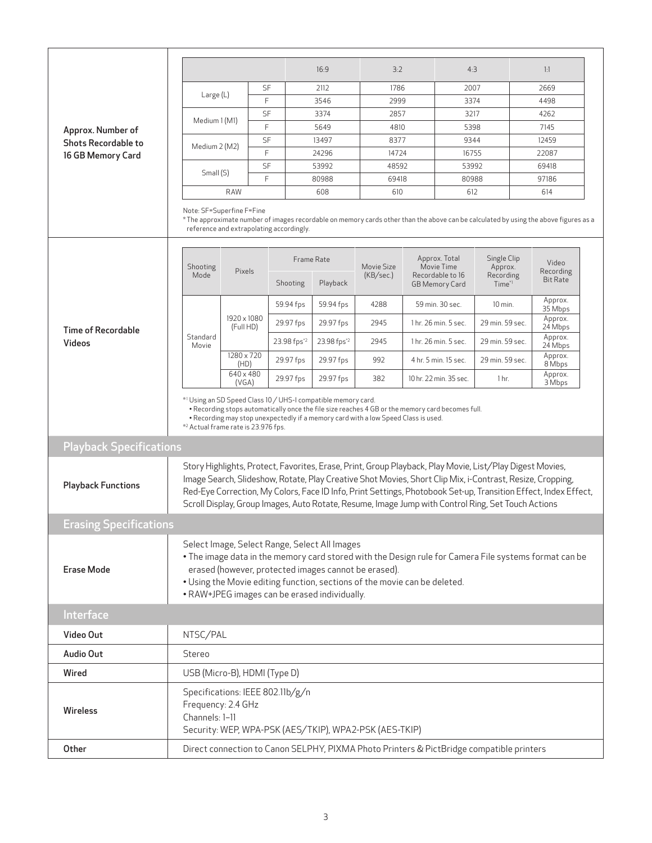|                                                                      |                                                                                                                                                                                                                                                                                                                                                                                                                                                |                          |    |                         | 16:9        | 3:2                     |                                                                          | 4:3                    |                                               |              | 1:1                          |  |
|----------------------------------------------------------------------|------------------------------------------------------------------------------------------------------------------------------------------------------------------------------------------------------------------------------------------------------------------------------------------------------------------------------------------------------------------------------------------------------------------------------------------------|--------------------------|----|-------------------------|-------------|-------------------------|--------------------------------------------------------------------------|------------------------|-----------------------------------------------|--------------|------------------------------|--|
|                                                                      |                                                                                                                                                                                                                                                                                                                                                                                                                                                |                          | SF |                         | 2112        | 1786                    |                                                                          | 2007                   |                                               | 2669         |                              |  |
| Approx. Number of<br><b>Shots Recordable to</b><br>16 GB Memory Card | Large (L)                                                                                                                                                                                                                                                                                                                                                                                                                                      |                          | F  |                         | 3546        | 2999                    |                                                                          | 3374                   |                                               | 4498         |                              |  |
|                                                                      |                                                                                                                                                                                                                                                                                                                                                                                                                                                |                          | SF |                         | 3374        |                         | 2857                                                                     |                        | 3217                                          |              | 4262                         |  |
|                                                                      | Medium 1 (M1)                                                                                                                                                                                                                                                                                                                                                                                                                                  |                          | F  |                         | 5649        |                         | 4810                                                                     |                        | 5398                                          |              | 7145                         |  |
|                                                                      | Medium 2 (M2)                                                                                                                                                                                                                                                                                                                                                                                                                                  |                          | SF |                         | 13497       |                         | 8377                                                                     |                        | 9344                                          |              | 12459                        |  |
|                                                                      |                                                                                                                                                                                                                                                                                                                                                                                                                                                |                          | F  |                         | 24296       | 14724                   |                                                                          | 16755                  |                                               | 22087        |                              |  |
|                                                                      | Small (S)                                                                                                                                                                                                                                                                                                                                                                                                                                      |                          | SF |                         | 53992       | 48592                   |                                                                          | 53992                  |                                               | 69418        |                              |  |
|                                                                      |                                                                                                                                                                                                                                                                                                                                                                                                                                                |                          | F  |                         | 80988       | 69418                   |                                                                          | 80988                  |                                               | 97186<br>614 |                              |  |
|                                                                      | 608<br>610<br>612<br>RAW                                                                                                                                                                                                                                                                                                                                                                                                                       |                          |    |                         |             |                         |                                                                          |                        |                                               |              |                              |  |
|                                                                      | Note: SF=Superfine F=Fine<br>* The approximate number of images recordable on memory cards other than the above can be calculated by using the above figures as a<br>reference and extrapolating accordingly.                                                                                                                                                                                                                                  |                          |    |                         |             |                         |                                                                          |                        |                                               |              |                              |  |
|                                                                      | Shooting                                                                                                                                                                                                                                                                                                                                                                                                                                       |                          |    |                         | Frame Rate  | Movie Size<br>(KB/sec.) | Approx. Total<br>Movie Time<br>Recordable to 16<br><b>GB Memory Card</b> |                        | Single Clip<br>Approx.<br>Recording<br>Time*1 |              | Video                        |  |
|                                                                      | Mode                                                                                                                                                                                                                                                                                                                                                                                                                                           | Pixels                   |    | <b>Shooting</b>         | Playback    |                         |                                                                          |                        |                                               |              | Recording<br><b>Bit Rate</b> |  |
|                                                                      |                                                                                                                                                                                                                                                                                                                                                                                                                                                |                          |    | 59.94 fps               | 59.94 fps   | 4288                    |                                                                          | 59 min. 30 sec.        | $10$ min.                                     |              | Approx.<br>35 Mbps           |  |
| <b>Time of Recordable</b>                                            |                                                                                                                                                                                                                                                                                                                                                                                                                                                | 1920 x 1080<br>(Full HD) |    | 29.97 fps               | 29.97 fps   | 2945                    |                                                                          | 1 hr. 26 min. 5 sec.   | 29 min. 59 sec.                               |              | Approx.<br>24 Mbps           |  |
| <b>Videos</b>                                                        | Standard<br>Movie                                                                                                                                                                                                                                                                                                                                                                                                                              |                          |    | 23.98 fps <sup>*2</sup> | 23.98 fps*2 | 2945                    |                                                                          | 1 hr. 26 min. 5 sec.   | 29 min. 59 sec.                               |              | Approx.<br>24 Mbps           |  |
|                                                                      |                                                                                                                                                                                                                                                                                                                                                                                                                                                | 1280 x 720<br>(HD)       |    | 29.97 fps               | 29.97 fps   | 992                     |                                                                          | 4 hr. 5 min. 15 sec.   | 29 min. 59 sec.                               |              | Approx.<br>8 Mbps            |  |
|                                                                      |                                                                                                                                                                                                                                                                                                                                                                                                                                                | 640 x 480<br>(VGA)       |    | 29.97 fps               | 29.97 fps   | 382                     |                                                                          | 10 hr. 22 min. 35 sec. | 1 <sub>hr.</sub>                              |              | Approx.<br>3 Mbps            |  |
|                                                                      | *1 Using an SD Speed Class 10 / UHS-I compatible memory card.<br>• Recording stops automatically once the file size reaches 4 GB or the memory card becomes full.<br>• Recording may stop unexpectedly if a memory card with a low Speed Class is used.<br>* <sup>2</sup> Actual frame rate is 23.976 fps.                                                                                                                                     |                          |    |                         |             |                         |                                                                          |                        |                                               |              |                              |  |
| <b>Playback Specifications</b>                                       |                                                                                                                                                                                                                                                                                                                                                                                                                                                |                          |    |                         |             |                         |                                                                          |                        |                                               |              |                              |  |
| <b>Playback Functions</b>                                            | Story Highlights, Protect, Favorites, Erase, Print, Group Playback, Play Movie, List/Play Digest Movies,<br>Image Search, Slideshow, Rotate, Play Creative Shot Movies, Short Clip Mix, i-Contrast, Resize, Cropping,<br>Red-Eye Correction, My Colors, Face ID Info, Print Settings, Photobook Set-up, Transition Effect, Index Effect,<br>Scroll Display, Group Images, Auto Rotate, Resume, Image Jump with Control Ring, Set Touch Actions |                          |    |                         |             |                         |                                                                          |                        |                                               |              |                              |  |
| <b>Erasing Specifications</b>                                        |                                                                                                                                                                                                                                                                                                                                                                                                                                                |                          |    |                         |             |                         |                                                                          |                        |                                               |              |                              |  |
| <b>Erase Mode</b>                                                    | Select Image, Select Range, Select All Images<br>. The image data in the memory card stored with the Design rule for Camera File systems format can be<br>erased (however, protected images cannot be erased).<br>. Using the Movie editing function, sections of the movie can be deleted.<br>• RAW+JPEG images can be erased individually.                                                                                                   |                          |    |                         |             |                         |                                                                          |                        |                                               |              |                              |  |
| Interface                                                            |                                                                                                                                                                                                                                                                                                                                                                                                                                                |                          |    |                         |             |                         |                                                                          |                        |                                               |              |                              |  |
| Video Out                                                            | NTSC/PAL                                                                                                                                                                                                                                                                                                                                                                                                                                       |                          |    |                         |             |                         |                                                                          |                        |                                               |              |                              |  |
| <b>Audio Out</b>                                                     | Stereo                                                                                                                                                                                                                                                                                                                                                                                                                                         |                          |    |                         |             |                         |                                                                          |                        |                                               |              |                              |  |
| Wired                                                                | USB (Micro-B), HDMI (Type D)                                                                                                                                                                                                                                                                                                                                                                                                                   |                          |    |                         |             |                         |                                                                          |                        |                                               |              |                              |  |
| Wireless                                                             | Specifications: IEEE 802.11b/g/n<br>Frequency: 2.4 GHz<br>Channels: 1-11<br>Security: WEP, WPA-PSK (AES/TKIP), WPA2-PSK (AES-TKIP)                                                                                                                                                                                                                                                                                                             |                          |    |                         |             |                         |                                                                          |                        |                                               |              |                              |  |
| Other                                                                | Direct connection to Canon SELPHY, PIXMA Photo Printers & PictBridge compatible printers                                                                                                                                                                                                                                                                                                                                                       |                          |    |                         |             |                         |                                                                          |                        |                                               |              |                              |  |